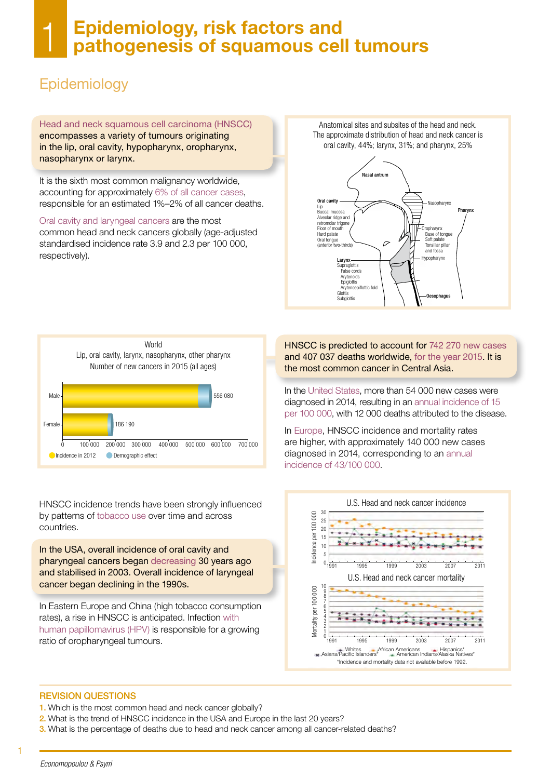#### 1 Epidemiology, risk factors and pathogenesis of squamous cell tumours

# Epidemiology

Head and neck squamous cell carcinoma (HNSCC) encompasses a variety of tumours originating in the lip, oral cavity, hypopharynx, oropharynx, nasopharynx or larynx.

It is the sixth most common malignancy worldwide, accounting for approximately 6% of all cancer cases, responsible for an estimated 1%–2% of all cancer deaths.

Oral cavity and laryngeal cancers are the most common head and neck cancers globally (age-adjusted standardised incidence rate 3.9 and 2.3 per 100 000, respectively).

Anatomical sites and subsites of the head and neck. The approximate distribution of head and neck cancer is oral cavity, 44%; larynx, 31%; and pharynx, 25%





HNSCC incidence trends have been strongly influenced by patterns of tobacco use over time and across countries.

In the USA, overall incidence of oral cavity and pharyngeal cancers began decreasing 30 years ago and stabilised in 2003. Overall incidence of laryngeal cancer began declining in the 1990s.

In Eastern Europe and China (high tobacco consumption rates), a rise in HNSCC is anticipated. Infection with human papillomavirus (HPV) is responsible for a growing ratio of oropharyngeal tumours.

HNSCC is predicted to account for 742 270 new cases and 407 037 deaths worldwide, for the year 2015. It is the most common cancer in Central Asia.

In the United States, more than 54 000 new cases were diagnosed in 2014, resulting in an annual incidence of 15 per 100 000, with 12 000 deaths attributed to the disease.

In Europe, HNSCC incidence and mortality rates are higher, with approximately 140 000 new cases diagnosed in 2014, corresponding to an annual incidence of 43/100 000.



#### REVISION QUESTIONS

- 1. Which is the most common head and neck cancer globally?
- 2. What is the trend of HNSCC incidence in the USA and Europe in the last 20 years?
- 3. What is the percentage of deaths due to head and neck cancer among all cancer-related deaths?

1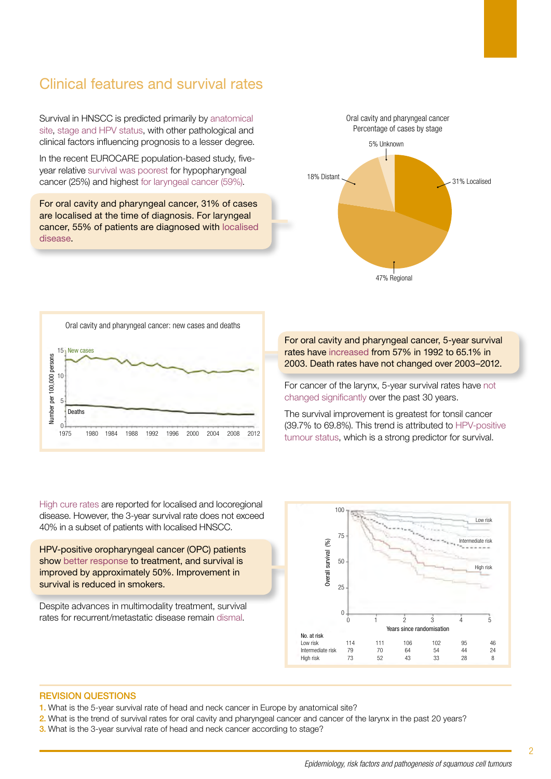### Clinical features and survival rates

Survival in HNSCC is predicted primarily by anatomical site, stage and HPV status, with other pathological and clinical factors influencing prognosis to a lesser degree.

In the recent EUROCARE population-based study, fiveyear relative survival was poorest for hypopharyngeal cancer (25%) and highest for laryngeal cancer (59%).

For oral cavity and pharyngeal cancer, 31% of cases are localised at the time of diagnosis. For laryngeal cancer, 55% of patients are diagnosed with localised disease.





High cure rates are reported for localised and locoregional disease. However, the 3-year survival rate does not exceed 40% in a subset of patients with localised HNSCC.

HPV-positive oropharyngeal cancer (OPC) patients show better response to treatment, and survival is improved by approximately 50%. Improvement in survival is reduced in smokers.

Despite advances in multimodality treatment, survival rates for recurrent/metastatic disease remain dismal.

For oral cavity and pharyngeal cancer, 5-year survival rates have increased from 57% in 1992 to 65.1% in 2003. Death rates have not changed over 2003–2012.

For cancer of the larynx, 5-year survival rates have not changed significantly over the past 30 years.

The survival improvement is greatest for tonsil cancer (39.7% to 69.8%). This trend is attributed to HPV-positive tumour status, which is a strong predictor for survival.



- 1. What is the 5-year survival rate of head and neck cancer in Europe by anatomical site?
- 2. What is the trend of survival rates for oral cavity and pharyngeal cancer and cancer of the larynx in the past 20 years?
- 3. What is the 3-year survival rate of head and neck cancer according to stage?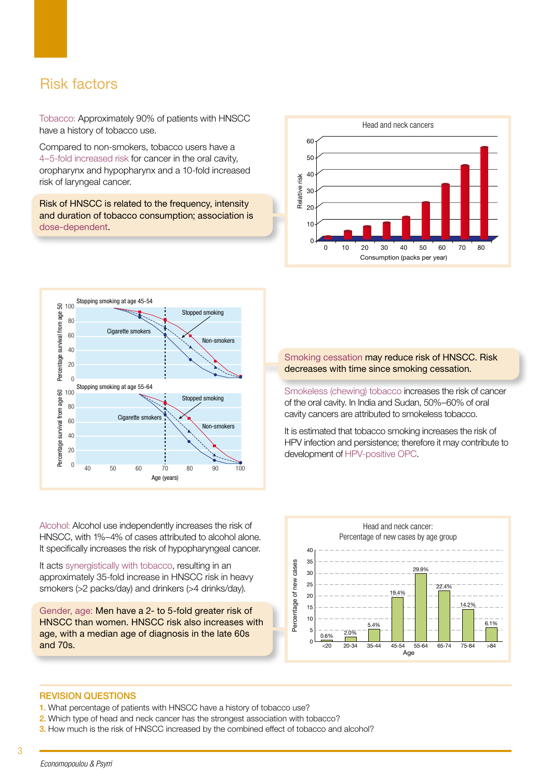### Risk factors

Tobacco: Approximately 90% of patients with HNSCC have a history of tobacco use.

Compared to non-smokers, tobacco users have a 4–5-fold increased risk for cancer in the oral cavity, oropharynx and hypopharynx and a 10-fold increased risk of laryngeal cancer.

Risk of HNSCC is related to the frequency, intensity and duration of tobacco consumption; association is dose-dependent.





Alcohol: Alcohol use independently increases the risk of HNSCC, with 1%–4% of cases attributed to alcohol alone. It specifically increases the risk of hypopharyngeal cancer.

It acts synergistically with tobacco, resulting in an approximately 35-fold increase in HNSCC risk in heavy smokers (>2 packs/day) and drinkers (>4 drinks/day).

Gender, age: Men have a 2- to 5-fold greater risk of HNSCC than women. HNSCC risk also increases with age, with a median age of diagnosis in the late 60s and 70s.

Smoking cessation may reduce risk of HNSCC. Risk decreases with time since smoking cessation.

Smokeless (chewing) tobacco increases the risk of cancer of the oral cavity. In India and Sudan, 50%–60% of oral cavity cancers are attributed to smokeless tobacco.

It is estimated that tobacco smoking increases the risk of HPV infection and persistence; therefore it may contribute to development of HPV-positive OPC.



- 1. What percentage of patients with HNSCC have a history of tobacco use?
- 2. Which type of head and neck cancer has the strongest association with tobacco?
- **3.** How much is the risk of HNSCC increased by the combined effect of tobacco and alcohol?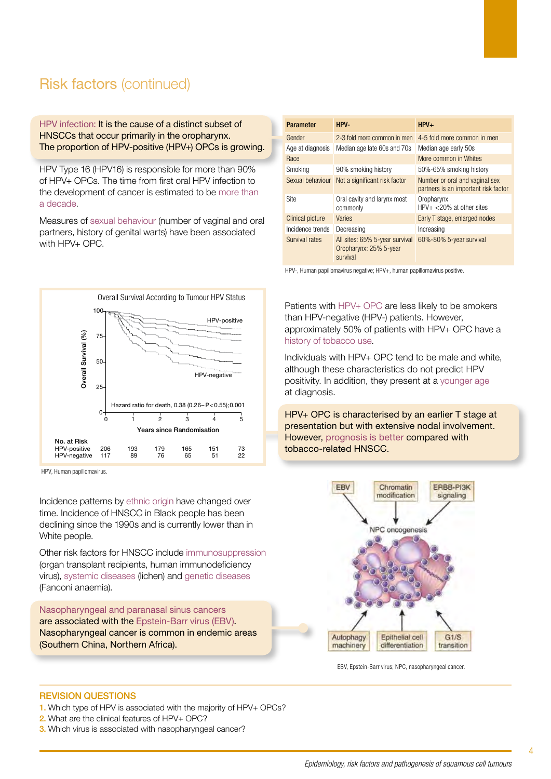## Risk factors (continued)

HPV infection: It is the cause of a distinct subset of HNSCCs that occur primarily in the oropharynx. The proportion of HPV-positive (HPV+) OPCs is growing.

HPV Type 16 (HPV16) is responsible for more than 90% of HPV+ OPCs. The time from first oral HPV infection to the development of cancer is estimated to be more than a decade.

Measures of sexual behaviour (number of vaginal and oral partners, history of genital warts) have been associated with HPV+ OPC.



HPV, Human papillomavirus.

Incidence patterns by ethnic origin have changed over time. Incidence of HNSCC in Black people has been declining since the 1990s and is currently lower than in White people.

Other risk factors for HNSCC include immunosuppression (organ transplant recipients, human immunodeficiency virus), systemic diseases (lichen) and genetic diseases (Fanconi anaemia).

Nasopharyngeal and paranasal sinus cancers are associated with the Epstein-Barr virus (EBV). Nasopharyngeal cancer is common in endemic areas (Southern China, Northern Africa).

| <b>Parameter</b> | HPV-                                                                 | $HPV+$                                                                 |
|------------------|----------------------------------------------------------------------|------------------------------------------------------------------------|
| Gender           | 2-3 fold more common in men                                          | 4-5 fold more common in men                                            |
| Age at diagnosis | Median age late 60s and 70s                                          | Median age early 50s                                                   |
| Race             |                                                                      | More common in Whites                                                  |
| Smoking          | 90% smoking history                                                  | 50%-65% smoking history                                                |
| Sexual behaviour | Not a significant risk factor                                        | Number or oral and vaginal sex<br>partners is an important risk factor |
| Site             | Oral cavity and larynx most<br>commonly                              | Oropharynx<br>$HPV+ < 20\%$ at other sites                             |
| Clinical picture | Varies                                                               | Early T stage, enlarged nodes                                          |
| Incidence trends | Decreasing                                                           | Increasing                                                             |
| Survival rates   | All sites: 65% 5-year survival<br>Oropharynx: 25% 5-year<br>survival | 60%-80% 5-year survival                                                |

HPV-, Human papillomavirus negative; HPV+, human papillomavirus positive.

Patients with HPV+ OPC are less likely to be smokers than HPV-negative (HPV-) patients. However, approximately 50% of patients with HPV+ OPC have a history of tobacco use.

Individuals with HPV+ OPC tend to be male and white, although these characteristics do not predict HPV positivity. In addition, they present at a younger age at diagnosis.

HPV+ OPC is characterised by an earlier T stage at presentation but with extensive nodal involvement. However, prognosis is better compared with tobacco-related HNSCC.



EBV, Epstein-Barr virus; NPC, nasopharyngeal cancer.

- 1. Which type of HPV is associated with the majority of HPV+ OPCs?
- 2. What are the clinical features of HPV+ OPC?
- **3.** Which virus is associated with nasopharyngeal cancer?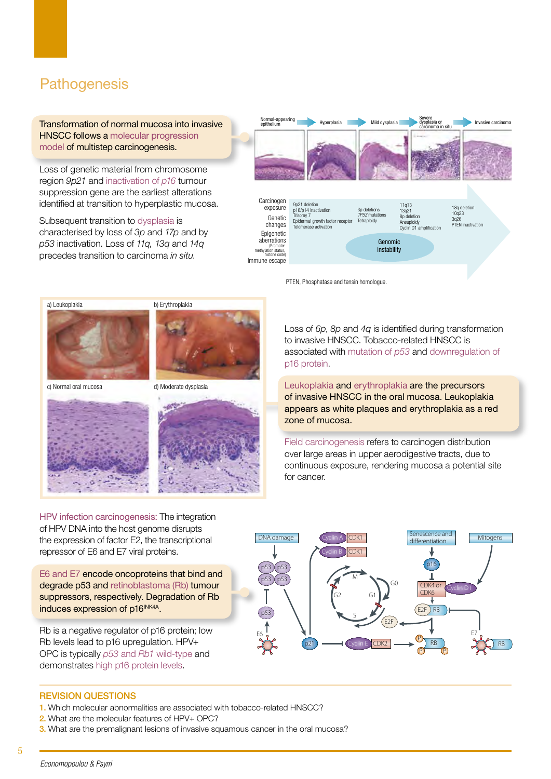## **Pathogenesis**

Transformation of normal mucosa into invasive HNSCC follows a molecular progression model of multistep carcinogenesis.

Loss of genetic material from chromosome region *9p21* and inactivation of *p16* tumour suppression gene are the earliest alterations identified at transition to hyperplastic mucosa.

Subsequent transition to dysplasia is characterised by loss of *3p* and *17p* and by *p53* inactivation. Loss of *11q, 13q* and *14q* precedes transition to carcinoma *in situ*.



PTEN, Phosphatase and tensin homologue.



c) Normal oral mucosa

d) Moderate dysplasia





Loss of *6p*, *8p* and *4q* is identified during transformation to invasive HNSCC. Tobacco-related HNSCC is associated with mutation of *p53* and downregulation of p16 protein.

Leukoplakia and erythroplakia are the precursors of invasive HNSCC in the oral mucosa. Leukoplakia appears as white plaques and erythroplakia as a red zone of mucosa.

Field carcinogenesis refers to carcinogen distribution over large areas in upper aerodigestive tracts, due to continuous exposure, rendering mucosa a potential site for cancer.

HPV infection carcinogenesis: The integration of HPV DNA into the host genome disrupts the expression of factor E2, the transcriptional repressor of E6 and E7 viral proteins.

E6 and E7 encode oncoproteins that bind and degrade p53 and retinoblastoma (Rb) tumour suppressors, respectively. Degradation of Rb induces expression of p16<sup>INK4A</sup>.

Rb is a negative regulator of p16 protein; low Rb levels lead to p16 upregulation. HPV+ OPC is typically *p53* and *Rb1* wild-type and demonstrates high p16 protein levels.



- 1. Which molecular abnormalities are associated with tobacco-related HNSCC?
- 2. What are the molecular features of HPV+ OPC?
- 3. What are the premalignant lesions of invasive squamous cancer in the oral mucosa?